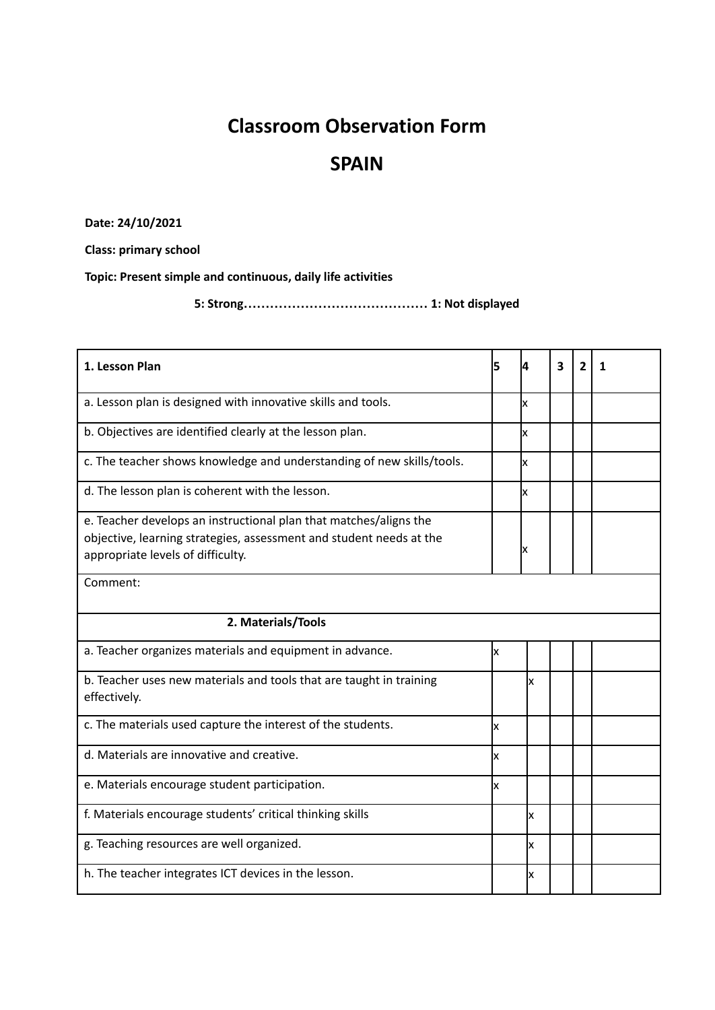## **Classroom Observation Form**

## **SPAIN**

**Date: 24/10/2021**

**Class: primary school**

**Topic: Present simple and continuous, daily life activities**

**5: Strong…………………………………… 1: Not displayed**

| 1. Lesson Plan                                                                                                                                                                | 5  | 4  | 3 | 2 | 1 |  |
|-------------------------------------------------------------------------------------------------------------------------------------------------------------------------------|----|----|---|---|---|--|
| a. Lesson plan is designed with innovative skills and tools.                                                                                                                  |    | lχ |   |   |   |  |
| b. Objectives are identified clearly at the lesson plan.                                                                                                                      |    | Ιx |   |   |   |  |
| c. The teacher shows knowledge and understanding of new skills/tools.                                                                                                         |    | Ιx |   |   |   |  |
| d. The lesson plan is coherent with the lesson.                                                                                                                               |    | Ιx |   |   |   |  |
| e. Teacher develops an instructional plan that matches/aligns the<br>objective, learning strategies, assessment and student needs at the<br>appropriate levels of difficulty. |    | Ιx |   |   |   |  |
| Comment:                                                                                                                                                                      |    |    |   |   |   |  |
| 2. Materials/Tools                                                                                                                                                            |    |    |   |   |   |  |
| a. Teacher organizes materials and equipment in advance.                                                                                                                      | Ιx |    |   |   |   |  |
| b. Teacher uses new materials and tools that are taught in training<br>effectively.                                                                                           |    | x  |   |   |   |  |
| c. The materials used capture the interest of the students.                                                                                                                   | x  |    |   |   |   |  |
| d. Materials are innovative and creative.                                                                                                                                     | x  |    |   |   |   |  |
| e. Materials encourage student participation.                                                                                                                                 | Ιx |    |   |   |   |  |
| f. Materials encourage students' critical thinking skills                                                                                                                     |    | x  |   |   |   |  |
| g. Teaching resources are well organized.                                                                                                                                     |    | x  |   |   |   |  |
| h. The teacher integrates ICT devices in the lesson.                                                                                                                          |    | x  |   |   |   |  |